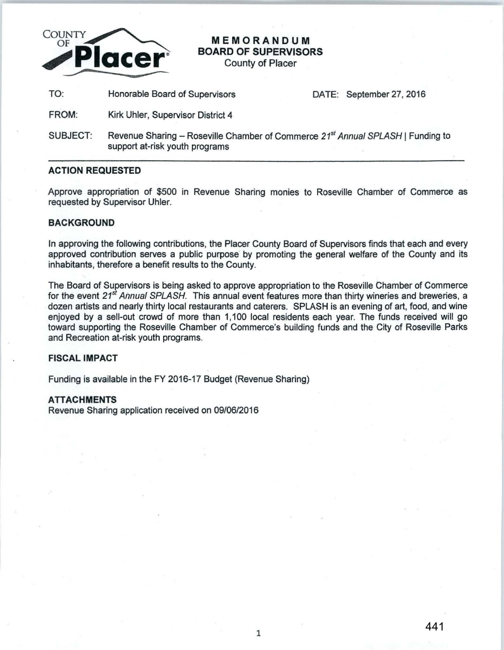

# **MEMORANDUM BOARD OF SUPERVISORS**

County of Placer

TO: Honorable Board of Supervisors **DATE: September 27, 2016** 

- FROM: Kirk Uhler, Supervisor District 4
- SUBJECT: Revenue Sharing Roseville Chamber of Commerce 21<sup>st</sup> Annual SPLASH | Funding to support at-risk youth programs

#### **ACTION REQUESTED**

Approve appropriation of \$500 in Revenue Sharing monies to Roseville Chamber of Commerce as requested by Supervisor Uhler.

## **BACKGROUND**

In approving the following contributions, the Placer County Board of Supervisors finds that each and every approved contribution serves a public purpose by promoting the general welfare of the County and its inhabitants, therefore a benefit results to the County.

The Board of Supervisors is being asked to approve appropriation to the Roseville Chamber of Commerce for the event *21st* Annual *SPLASH.* This annual event features more than thirty wineries and breweries, a dozen artists and nearly thirty local restaurants and caterers. SPLASH is an evening of art, food, and wine enjoyed by a sell-out crowd of more than 1,100 local residents each year. The funds received will go toward supporting the Roseville Chamber of Commerce's building funds and the City of Roseville Parks and Recreation at-risk youth programs.

## **FISCAL IMPACT**

Funding is available in the FY 2016-17 Budget (Revenue Sharing)

#### **ATTACHMENTS**

Revenue Sharing application received on 09/06/2016